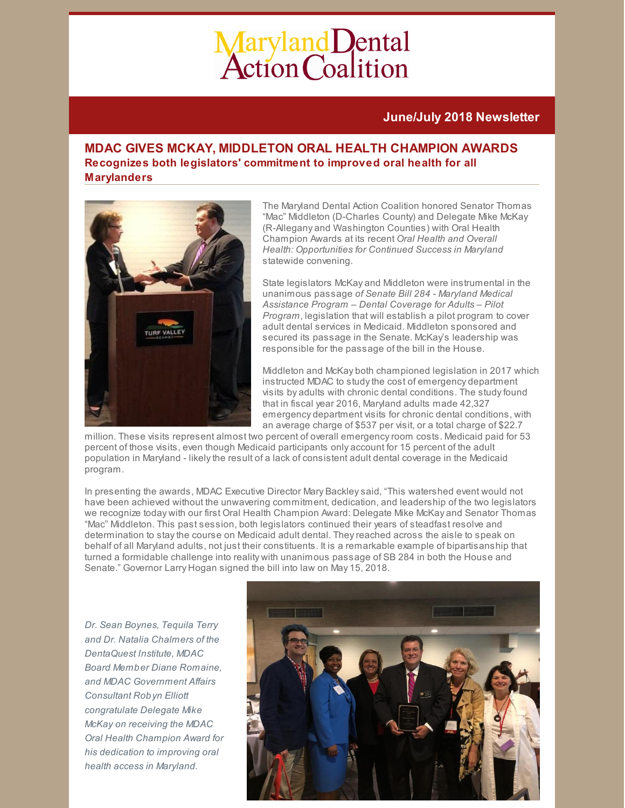# Maryland Dental<br>Action Coalition

# **June/July 2018 Newsletter**

# **MDAC GIVES MCKAY, MIDDLETON ORAL HEALTH CHAMPION AWARDS Recognizes both legislators' commitment to improved oral health for all Marylanders**



The Maryland Dental Action Coalition honored Senator Thomas "Mac" Middleton (D-Charles County) and Delegate Mike McKay (R-Allegany and Washington Counties) with Oral Health Champion Awards at its recent *Oral Health and Overall Health: Opportunities for Continued Success in Maryland* statewide convening.

State legislators McKay and Middleton were instrumental in the unanimous passage *of Senate Bill 284 - Maryland Medical Assistance Program – Dental Coverage for Adults – Pilot Program*, legislation that will establish a pilot program to cover adult dental services in Medicaid. Middleton sponsored and secured its passage in the Senate. McKay's leadership was responsible for the passage of the bill in the House.

Middleton and McKay both championed legislation in 2017 which instructed MDAC to study the cost of emergency department visits by adults with chronic dental conditions. The studyfound that in fiscal year 2016, Maryland adults made 42,327 emergency department visits for chronic dental conditions, with an average charge of \$537 per visit, or a total charge of \$22.7

million. These visits represent almost two percent of overall emergencyroom costs. Medicaid paid for 53 percent of those visits, even though Medicaid participants only account for 15 percent of the adult population in Maryland - likelythe result of a lack of consistent adult dental coverage in the Medicaid program.

In presenting the awards, MDAC Executive Director Mary Backleysaid, "This watershed event would not have been achieved without the unwavering commitment, dedication, and leadership of the two legislators we recognize today with our first Oral Health Champion Award: Delegate Mike McKay and Senator Thomas "Mac" Middleton. This past session, both legislators continued their years of steadfast resolve and determination to staythe course on Medicaid adult dental. Theyreached across the aisle to speak on behalf of all Maryland adults, not just their constituents. It is a remarkable example of bipartisanship that turned a formidable challenge into reality with unanimous passage of SB 284 in both the House and Senate." Governor Larry Hogan signed the bill into law on May 15, 2018.

*Dr. Sean Boynes, Tequila Terry and Dr. Natalia Chalmers of the DentaQuest Institute, MDAC Board Member Diane Romaine, and MDAC Government Affairs Consultant Robyn Elliott congratulate Delegate Mike McKay on receiving the MDAC Oral Health Champion Award for his dedication to improving oral health access in Maryland.*

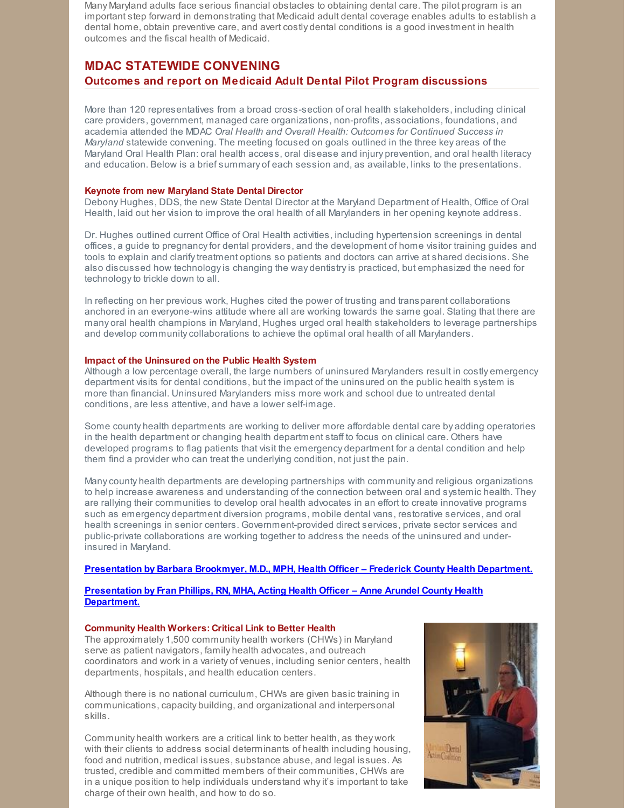Many Maryland adults face serious financial obstacles to obtaining dental care. The pilot program is an important step forward in demonstrating that Medicaid adult dental coverage enables adults to establish a dental home, obtain preventive care, and avert costly dental conditions is a good investment in health outcomes and the fiscal health of Medicaid.

# **MDAC STATEWIDE CONVENING Outcomes and report on Medicaid Adult Dental Pilot Program discussions**

More than 120 representatives from a broad cross-section of oral health stakeholders, including clinical care providers, government, managed care organizations, non-profits, associations, foundations, and academia attended the MDAC *Oral Health and Overall Health: Outcomes for Continued Success in Maryland* statewide convening. The meeting focused on goals outlined in the three key areas of the Maryland Oral Health Plan: oral health access, oral disease and injury prevention, and oral health literacy and education. Below is a brief summary of each session and, as available, links to the presentations.

### **Keynote from new Maryland State Dental Director**

Debony Hughes, DDS, the new State Dental Director at the Maryland Department of Health, Office of Oral Health, laid out her vision to improve the oral health of all Marylanders in her opening keynote address.

Dr. Hughes outlined current Office of Oral Health activities, including hypertension screenings in dental offices, a guide to pregnancyfor dental providers, and the development of home visitor training guides and tools to explain and clarifytreatment options so patients and doctors can arrive at shared decisions. She also discussed how technologyis changing the way dentistryis practiced, but emphasized the need for technology to trickle down to all.

In reflecting on her previous work, Hughes cited the power of trusting and transparent collaborations anchored in an everyone-wins attitude where all are working towards the same goal. Stating that there are many oral health champions in Maryland, Hughes urged oral health stakeholders to leverage partnerships and develop communitycollaborations to achieve the optimal oral health of all Marylanders.

### **Impact of the Uninsured on the Public Health System**

Although a low percentage overall, the large numbers of uninsured Marylanders result in costly emergency department visits for dental conditions, but the impact of the uninsured on the public health system is more than financial. Uninsured Marylanders miss more work and school due to untreated dental conditions, are less attentive, and have a lower self-image.

Some county health departments are working to deliver more affordable dental care by adding operatories in the health department or changing health department staff to focus on clinical care. Others have developed programs to flag patients that visit the emergency department for a dental condition and help them find a provider who can treat the underlying condition, not just the pain.

Manycounty health departments are developing partnerships with community and religious organizations to help increase awareness and understanding of the connection between oral and systemic health. They are rallying their communities to develop oral health advocates in an effort to create innovative programs such as emergency department diversion programs, mobile dental vans, restorative services, and oral health screenings in senior centers. Government-provided direct services, private sector services and public-private collaborations are working together to address the needs of the uninsured and underinsured in Maryland.

### **[Presentation](http://files.constantcontact.com/f29af31a201/3dc50f9e-ce99-4b25-a98a-4f0bdf852984.pdf) by Barbara Brookmyer, M.D., MPH, Health Officer – Frederick County Health Department.**

### **[Presentation](http://files.constantcontact.com/f29af31a201/277d82be-b2b8-4f58-8361-9309e6d4af32.pdf) by Fran Phillips, RN, MHA, Acting Health Officer – Anne Arundel County Health Department.**

### **Community Health Workers: Critical Link to Better Health**

The approximately 1,500 community health workers (CHWs) in Maryland serve as patient navigators, family health advocates, and outreach coordinators and work in a variety of venues, including senior centers, health departments, hospitals, and health education centers.

Although there is no national curriculum, CHWs are given basic training in communications, capacity building, and organizational and interpersonal skills.

Community health workers are a critical link to better health, as they work with their clients to address social determinants of health including housing, food and nutrition, medical issues, substance abuse, and legal issues. As trusted, credible and committed members of their communities, CHWs are in a unique position to help individuals understand whyit's important to take charge of their own health, and how to do so.

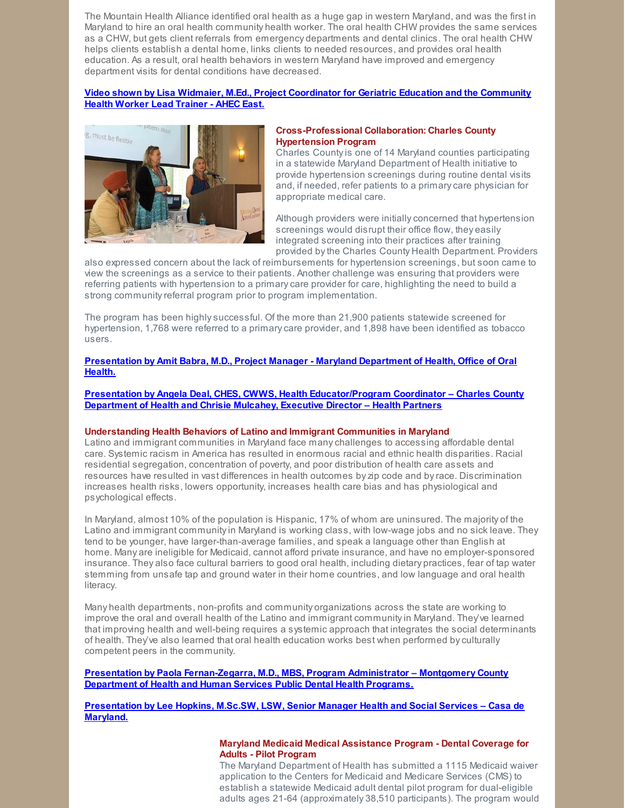The Mountain Health Alliance identified oral health as a huge gap in western Maryland, and was the first in Maryland to hire an oral health community health worker. The oral health CHW provides the same services as a CHW, but gets client referrals from emergency departments and dental clinics. The oral health CHW helps clients establish a dental home, links clients to needed resources, and provides oral health education. As a result, oral health behaviors in western Maryland have improved and emergency department visits for dental conditions have decreased.

### **Video shown by Lisa Widmaier, M.Ed., Project [Coordinator](https://www.youtube.com/watch?v=LiATbAoy7i4) for Geriatric Education and the Community Health Worker Lead Trainer - AHEC East.**



### **Cross-Professional Collaboration: Charles County Hypertension Program**

Charles Countyis one of 14 Maryland counties participating in a statewide Maryland Department of Health initiative to provide hypertension screenings during routine dental visits and, if needed, refer patients to a primarycare physician for appropriate medical care.

Although providers were initiallyconcerned that hypertension screenings would disrupt their office flow, they easily integrated screening into their practices after training provided bythe Charles County Health Department. Providers

also expressed concern about the lack of reimbursements for hypertension screenings, but soon came to view the screenings as a service to their patients. Another challenge was ensuring that providers were referring patients with hypertension to a primarycare provider for care, highlighting the need to build a strong community referral program prior to program implementation.

The program has been highlysuccessful. Of the more than 21,900 patients statewide screened for hypertension, 1,768 were referred to a primarycare provider, and 1,898 have been identified as tobacco users.

### **[Presentation](http://files.constantcontact.com/f29af31a201/f5119dda-bcad-4b2c-88da-2c695d38e108.pdf) by Amit Babra, M.D., Project Manager - Maryland Department of Health, Office of Oral Health.**

**Presentation by Angela Deal, CHES, CWWS, Health [Educator/Program](http://files.constantcontact.com/f29af31a201/4d55548e-1950-4ffe-ae12-b2f0e37c588f.pdf) Coordinator – Charles County Department of Health and Chrisie Mulcahey, Executive Director – Health Partners**

### **Understanding Health Behaviors of Latino and Immigrant Communities in Maryland**

Latino and immigrant communities in Maryland face manychallenges to accessing affordable dental care. Systemic racism in America has resulted in enormous racial and ethnic health disparities. Racial residential segregation, concentration of poverty, and poor distribution of health care assets and resources have resulted in vast differences in health outcomes byzip code and byrace. Discrimination increases health risks, lowers opportunity, increases health care bias and has physiological and psychological effects.

In Maryland, almost 10% of the population is Hispanic, 17% of whom are uninsured. The majority of the Latino and immigrant communityin Maryland is working class, with low-wage jobs and no sick leave. They tend to be younger, have larger-than-average families, and speak a language other than English at home. Many are ineligible for Medicaid, cannot afford private insurance, and have no employer-sponsored insurance. They also face cultural barriers to good oral health, including dietary practices, fear of tap water stemming from unsafe tap and ground water in their home countries, and low language and oral health literacy.

Many health departments, non-profits and community organizations across the state are working to improve the oral and overall health of the Latino and immigrant communityin Maryland. They've learned that improving health and well-being requires a systemic approach that integrates the social determinants of health. They've also learned that oral health education works best when performed byculturally competent peers in the community.

**Presentation by Paola [Fernan-Zegarra,](http://files.constantcontact.com/f29af31a201/65be83dd-12d4-42b7-bf7f-74a2bbae3dda.pdf) M.D., MBS, Program Administrator – Montgomery County Department of Health and Human Services Public Dental Health Programs.**

**[Presentation](http://files.constantcontact.com/f29af31a201/a011fd4d-654d-4b57-8bc6-63c78a314d79.pdf) by Lee Hopkins, M.Sc.SW, LSW, Senior Manager Health and Social Services – Casa de Maryland.**

### **Maryland Medicaid Medical Assistance Program - Dental Coverage for Adults - Pilot Program**

The Maryland Department of Health has submitted a 1115 Medicaid waiver application to the Centers for Medicaid and Medicare Services (CMS) to establish a statewide Medicaid adult dental pilot program for dual-eligible adults ages 21-64 (approximately 38,510 participants). The program would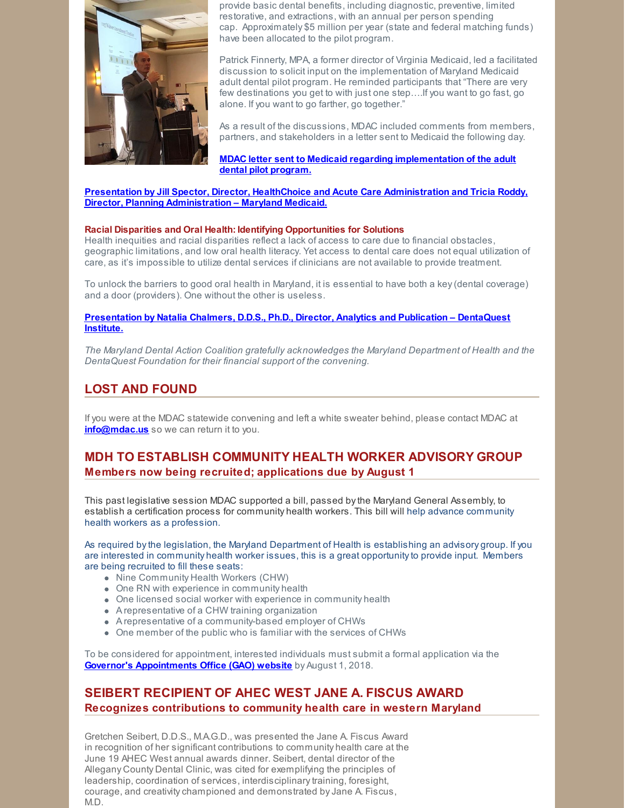

provide basic dental benefits, including diagnostic, preventive, limited restorative, and extractions, with an annual per person spending cap. Approximately \$5 million per year (state and federal matching funds) have been allocated to the pilot program.

Patrick Finnerty, MPA, a former director of Virginia Medicaid, led a facilitated discussion to solicit input on the implementation of Maryland Medicaid adult dental pilot program. He reminded participants that "There are very few destinations you get to with just one step….If you want to go fast, go alone. If you want to go farther, go together."

As a result of the discussions, MDAC included comments from members, partners, and stakeholders in a letter sent to Medicaid the following day.

**MDAC letter sent to Medicaid regarding [implementation](http://files.constantcontact.com/f29af31a201/922a2431-a12e-4c10-8f2a-e799066aab23.pdf) of the adult dental pilot program.**

**Presentation by Jill Spector, Director, HealthChoice and Acute Care Administration and Tricia Roddy, Director, Planning [Administration](http://files.constantcontact.com/f29af31a201/93146d1c-d522-45fe-86cf-c0d23ba71185.pdf) – Maryland Medicaid.**

### **Racial Disparities and Oral Health: Identifying Opportunities for Solutions**

Health inequities and racial disparities reflect a lack of access to care due to financial obstacles, geographic limitations, and low oral health literacy. Yet access to dental care does not equal utilization of care, as it's impossible to utilize dental services if clinicians are not available to provide treatment.

To unlock the barriers to good oral health in Maryland, it is essential to have both a key(dental coverage) and a door (providers). One without the other is useless.

### **[Presentation](http://files.constantcontact.com/f29af31a201/b98dc61d-5314-448a-975a-ef1ebd157742.pdf) by Natalia Chalmers, D.D.S., Ph.D., Director, Analytics and Publication – DentaQuest Institute.**

*The Maryland Dental Action Coalition gratefully acknowledges the Maryland Department of Health and the DentaQuest Foundation for their financial support of the convening.*

# **LOST AND FOUND**

If you were at the MDAC statewide convening and left a white sweater behind, please contact MDAC at **[info@mdac.us](mailto:info@mdac.us)** so we can return it to you.

# **MDH TO ESTABLISH COMMUNITY HEALTH WORKER ADVISORY GROUP Members now being recruited; applications due by August 1**

This past legislative session MDAC supported a bill, passed bythe Maryland General Assembly, to establish a certification process for community health workers. This bill will help advance community health workers as a profession.

As required bythe legislation, the Maryland Department of Health is establishing an advisory group. If you are interested in community health worker issues, this is a great opportunityto provide input. Members are being recruited to fill these seats:

- Nine Community Health Workers (CHW)
- One RN with experience in community health
- One licensed social worker with experience in community health
- A representative of a CHW training organization
- A representative of a community-based employer of CHWs
- One member of the public who is familiar with the services of CHWs

To be considered for appointment, interested individuals must submit a formal application via the **Governor's [Appointments](http://govappointments.maryland.gov/instructions-for-filling-out-the-general-application-form/) Office (GAO) website** by August 1, 2018.

# **SEIBERT RECIPIENT OF AHEC WEST JANE A. FISCUS AWARD Recognizes contributions to community health care in western Maryland**

Gretchen Seibert, D.D.S., M.A.G.D., was presented the Jane A. Fiscus Award in recognition of her significant contributions to community health care at the June 19 AHEC West annual awards dinner. Seibert, dental director of the Allegany County Dental Clinic, was cited for exemplifying the principles of leadership, coordination of services, interdisciplinary training, foresight, courage, and creativitychampioned and demonstrated byJane A. Fiscus, M.D.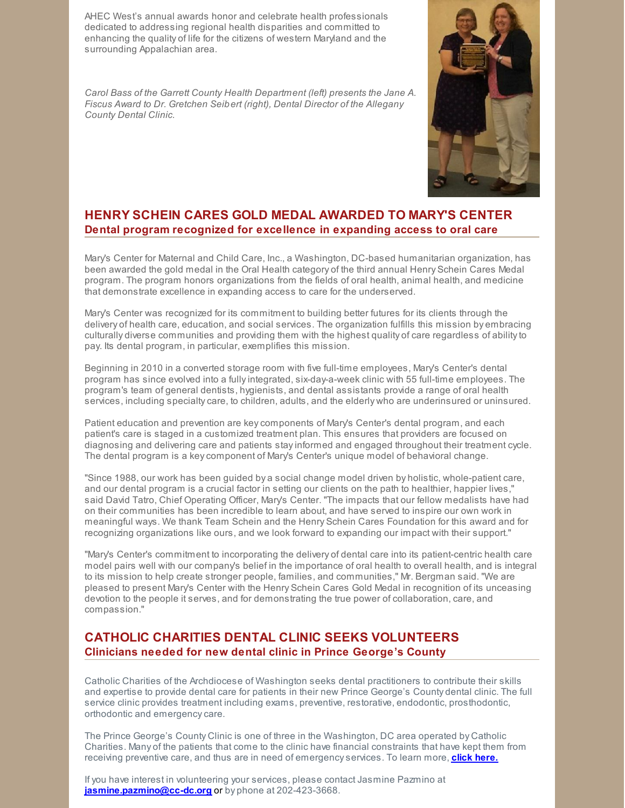AHEC West's annual awards honor and celebrate health professionals dedicated to addressing regional health disparities and committed to enhancing the quality of life for the citizens of western Maryland and the surrounding Appalachian area.

*Carol Bass of the Garrett County Health Department (left) presents the Jane A. Fiscus Award to Dr. Gretchen Seibert (right), Dental Director of the Allegany County Dental Clinic.*



# **HENRY SCHEIN CARES GOLD MEDAL AWARDED TO MARY'S CENTER Dental program recognized for excellence in expanding access to oral care**

Mary's Center for [Maternal](https://www.maryscenter.org/marys-center-pharmacy) and Child Care, Inc., a Washington, DC-based humanitarian organization, has been awarded the gold medal in the Oral Health category of the third annual Henry [Schein](http://www.hscaresfoundation.org/us-en/sites/HSCaresFoundation/hsc-medal-network.asp) Cares Medal program. The program honors organizations from the fields of oral health, animal health, and medicine that demonstrate excellence in expanding access to care for the underserved.

Mary's Center was recognized for its commitment to building better futures for its clients through the delivery of health care, education, and social services. The organization fulfills this mission by embracing culturally diverse communities and providing them with the highest quality of care regardless of abilityto pay. Its dental program, in particular, exemplifies this mission.

Beginning in 2010 in a converted storage room with five full-time employees, Mary's Center's dental program has since evolved into a fullyintegrated, six-day-a-week clinic with 55 full-time employees. The program's team of general dentists, hygienists, and dental assistants provide a range of oral health services, including specialty care, to children, adults, and the elderly who are underinsured or uninsured.

Patient education and prevention are keycomponents of Mary's Center's dental program, and each patient's care is staged in a customized treatment plan. This ensures that providers are focused on diagnosing and delivering care and patients stayinformed and engaged throughout their treatment cycle. The dental program is a keycomponent of Mary's Center's unique model of behavioral change.

"Since 1988, our work has been guided by a social change model driven by holistic, whole-patient care, and our dental program is a crucial factor in setting our clients on the path to healthier, happier lives," said David Tatro, Chief Operating Officer, Mary's Center. "The impacts that our fellow medalists have had on their communities has been incredible to learn about, and have served to inspire our own work in meaningful ways. We thank Team Schein and the Henry Schein Cares Foundation for this award and for recognizing organizations like ours, and we look forward to expanding our impact with their support."

"Mary's Center's commitment to incorporating the delivery of dental care into its patient-centric health care model pairs well with our company's belief in the importance of oral health to overall health, and is integral to its mission to help create stronger people, families, and communities," Mr. Bergman said. "We are pleased to present Mary's Center with the Henry Schein Cares Gold Medal in recognition of its unceasing devotion to the people it serves, and for demonstrating the true power of collaboration, care, and compassion."

# **CATHOLIC CHARITIES DENTAL CLINIC SEEKS VOLUNTEERS Clinicians needed for new dental clinic in Prince George's County**

Catholic Charities of the Archdiocese of Washington seeks dental practitioners to contribute their skills and expertise to provide dental care for patients in their new Prince George's County dental clinic. The full service clinic provides treatment including exams, preventive, restorative, endodontic, prosthodontic, orthodontic and emergencycare.

The Prince George's County Clinic is one of three in the Washington, DC area operated by Catholic Charities. Many of the patients that come to the clinic have financial constraints that have kept them from receiving preventive care, and thus are in need of emergencyservices. To learn more, **click [here.](http://files.constantcontact.com/f29af31a201/76f25324-a860-44af-b287-23f997ebae37.pdf)**

If you have interest in volunteering your services, please contact Jasmine Pazmino at **[jasmine.pazmino@cc-dc.org](mailto:jasmine.pazmino@cc-dc.org)** or by phone at 202-423-3668.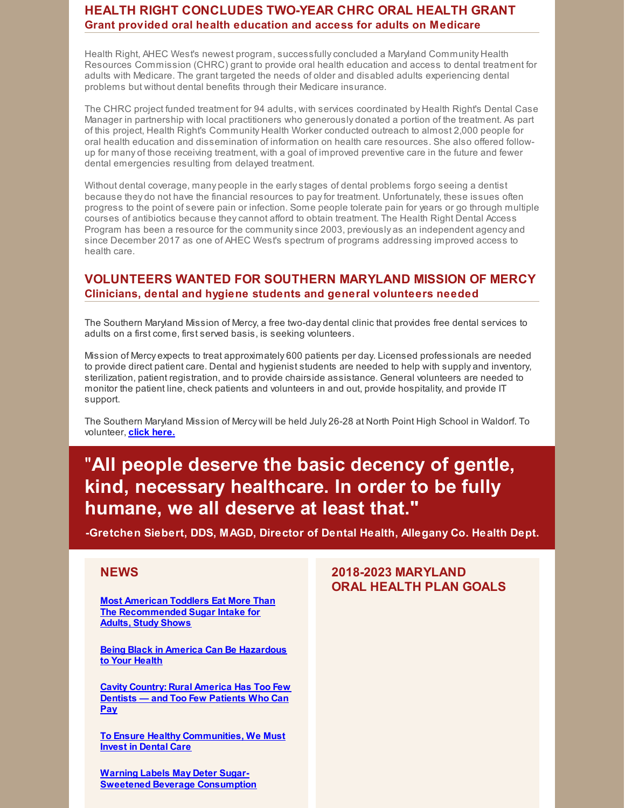# **HEALTH RIGHT CONCLUDES TWO-YEAR CHRC ORAL HEALTH GRANT Grant provided oral health education and access for adults on Medicare**

Health Right, AHEC West's newest program, successfullyconcluded a Maryland Community Health Resources Commission (CHRC) grant to provide oral health education and access to dental treatment for adults with Medicare. The grant targeted the needs of older and disabled adults experiencing dental problems but without dental benefits through their Medicare insurance.

The CHRC project funded treatment for 94 adults, with services coordinated by Health Right's Dental Case Manager in partnership with local practitioners who generously donated a portion of the treatment. As part of this project, Health Right's Community Health Worker conducted outreach to almost 2,000 people for oral health education and dissemination of information on health care resources. She also offered followup for many of those receiving treatment, with a goal of improved preventive care in the future and fewer dental emergencies resulting from delayed treatment.

Without dental coverage, many people in the earlystages of dental problems forgo seeing a dentist because they do not have the financial resources to payfor treatment. Unfortunately, these issues often progress to the point of severe pain or infection. Some people tolerate pain for years or go through multiple courses of antibiotics because theycannot afford to obtain treatment. The Health Right Dental Access Program has been a resource for the communitysince 2003, previously as an independent agency and since December 2017 as one of AHEC West's spectrum of programs addressing improved access to health care.

# **VOLUNTEERS WANTED FOR SOUTHERN MARYLAND MISSION OF MERCY Clinicians, dental and hygiene students and general volunteers needed**

The Southern Maryland Mission of Mercy, a free two-day dental clinic that provides free dental services to adults on a first come, first served basis, is seeking volunteers.

Mission of Mercy expects to treat approximately 600 patients per day. Licensed professionals are needed to provide direct patient care. Dental and hygienist students are needed to help with supply and inventory, sterilization, patient registration, and to provide chairside assistance. General volunteers are needed to monitor the patient line, check patients and volunteers in and out, provide hospitality, and provide IT support.

The Southern Maryland Mission of Mercy will be held July 26-28 at North Point High School in Waldorf. To volunteer, **click [here.](http://www.rsvpbook.com/event.php?524303)**

# "**All people deserve the basic decency of gentle, kind, necessary healthcare. In order to be fully humane, we all deserve at least that."**

**-Gretchen Siebert, DDS, MAGD, Director of Dental Health, Allegany Co. Health Dept.**

# **NEWS**

**Most American Toddlers Eat More Than The [Recommended](http://www.newsweek.com/most-american-toddlers-eat-more-recommended-sugar-intake-adults-study-shows-969501) Sugar Intake for Adults, Study Shows**

**Being Black in America Can Be [Hazardous](https://www.theatlantic.com/magazine/archive/2018/07/being-black-in-america-can-be-hazardous-to-your-health/561740/?utm_source=twb&utm_medium=email&utm_campaign=newsletter_axiosvitals&stream=top) to Your Health**

**Cavity [Country:](https://www.washingtonpost.com/news/posteverything/wp/2018/06/07/feature/rural-america-has-too-few-dentists-but-also-too-few-jobs-to-create-paying-patients/?noredirect=on&utm_term=.b82f23d4466c) Rural America Has Too Few Dentists — and Too Few Patients Who Can Pay**

**To Ensure Healthy [Communities,](https://theshriverbrief.org/to-ensure-healthy-communities-we-must-invest-in-dental-care-336afbace95d) We Must Invest in Dental Care**

**Warning Labels May Deter Sugar-Sweetened Beverage [Consumption](http://www.dentistrytoday.com/news/industrynews/item/3383-warning-labels-may-deter-sugar-sweetened-beverage-consumption)**

# **2018-2023 MARYLAND ORAL HEALTH PLAN GOALS**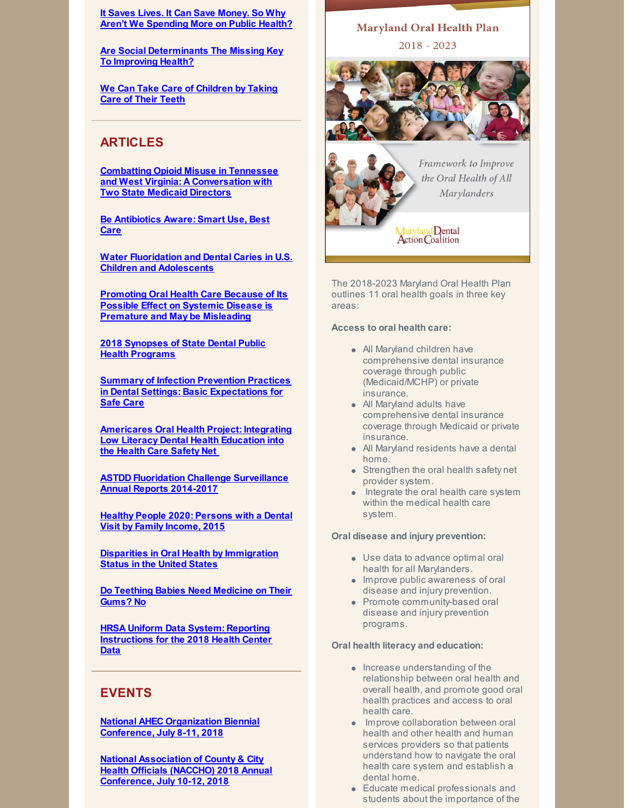**It Saves Lives. It Can Save Money. So Why Aren't We [Spending](https://www.nytimes.com/2018/05/28/upshot/it-saves-lives-it-can-save-money-so-why-arent-we-spending-more-on-public-health.html?smid=tw-upshotnyt&smtyp=cur) More on Public Health?**

**Are Social [Determinants](https://www.forbes.com/sites/sciencebiz/2018/05/29/are-social-determinants-the-missing-key-to-improving-health/#544b1e9b2267) The Missing Key To Improving Health?**

**We Can Take Care of [Children](http://thehill.com/opinion/healthcare/381771-we-can-take-care-of-children-by-taking-care-of-their-teeth?utm_campaign=2018-04-24+DEN&utm_medium=email&utm_source=Pew) by Taking Care of Their Teeth**

# **ARTICLES**

**Combatting Opioid Misuse in Tennessee and West Virginia: A [Conversation](https://www.chcs.org/combatting-opioid-misuse-in-tennessee-and-west-virginia-a-conversation-with-two-state-medicaid-directors/) with Two State Medicaid Directors**

**Be [Antibiotics](https://www.cdc.gov/grand-rounds/pp/2018/20180515-antibiotics-aware.html) Aware: Smart Use, Best Care**

**Water Fluoridation and Dental Caries in U.S. Children and [Adolescents](http://journals.sagepub.com/doi/full/10.1177/0022034518774331)**

**Promoting Oral Health Care Because of Its Possible Effect on Systemic Disease is Premature and May be [Misleading](http://files.constantcontact.com/f29af31a201/16e01afd-7eb6-4c91-8c84-2e70e1fbba2c.pdf)**

**2018 [Synopses](https://www.astdd.org/docs/synopses-summary-report-2018.pdf) of State Dental Public Health Programs**

**Summary of Infection Prevention Practices in Dental Settings: Basic [Expectations](https://www.cdc.gov/oralhealth/infectioncontrol/guidelines/index.htm) for Safe Care**

**[Americares](https://www.safetynetcenter.org/globalassets/_snc/eduresources/clinical/oral/ohp1-low_literacy-final_report_4.pdf) Oral Health Project: Integrating Low Literacy Dental Health Education into the Health Care Safety Net**

**ASTDD Fluoridation Challenge [Surveillance](https://www.astdd.org/docs/rollback-catalog-annual-report-2014-2017.pdf) Annual Reports 2014-2017**

**Healthy People 2020: [Persons](https://www.healthypeople.gov/2020/leading-health-indicators/2020-lhi-topics/Oral-Health/data#May-2018) with a Dental Visit by Family Income, 2015**

**Disparities in Oral Health by [Immigration](https://jada.ada.org/article/S0002-8177(18)30041-2/fulltext) Status in the United States**

**Do Teething Babies Need [Medicine](https://www.fda.gov/ForConsumers/ConsumerUpdates/ucm385817.htm) on Their Gums? No**

**HRSA Uniform Data System: Reporting [Instructions](https://bphc.hrsa.gov/datareporting/reporting/2018-uds-reporting-manual.pdf) for the 2018 Health Center Data**

# **EVENTS**

**National AHEC [Organization](http://nationalahec.org/conference/45/) Biennial Conference, July 8-11, 2018**

**National [Association](http://www.nacchoannual.org/) of County & City Health Officials (NACCHO) 2018 Annual Conference, July 10-12, 2018**

# **Maryland Oral Health Plan**  $2018 - 2023$



Framework to Improve the Oral Health of All **Marylanders** 

Maryland Dental<br>Action Coalition

The 2018-2023 Maryland Oral Health Plan outlines 11 oral health goals in three key areas:

### **Access to oral health care:**

- All Maryland children have comprehensive dental insurance coverage through public (Medicaid/MCHP) or private insurance.
- All Maryland adults have comprehensive dental insurance coverage through Medicaid or private insurance.
- All Maryland residents have a dental home.
- **Strengthen the oral health safety net** provider system.
- Integrate the oral health care system within the medical health care system.

### **Oral disease and injury prevention:**

- Use data to advance optimal oral health for all Marylanders.
- **Improve public awareness of oral** disease and injury prevention.
- Promote community-based oral disease and injury prevention programs.

### **Oral health literacy and education:**

- Increase understanding of the relationship between oral health and overall health, and promote good oral health practices and access to oral health care.
- **Improve collaboration between oral** health and other health and human services providers so that patients understand how to navigate the oral health care system and establish a dental home.
- Educate medical professionals and students about the importance of the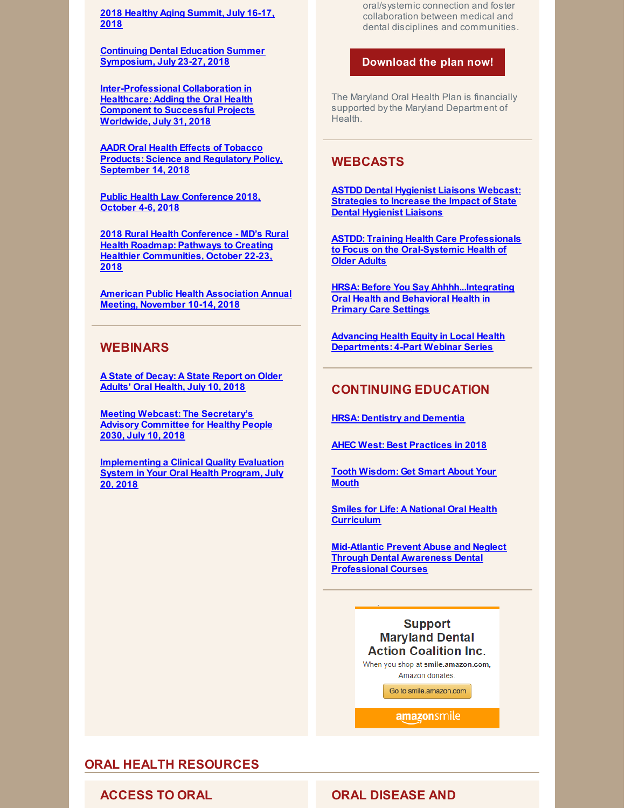**2018 Healthy Aging [Summit,](https://www.eventscribe.com/2018/ACPM-HAC/index.asp?launcher=1) July 16-17, 2018**

**Continuing Dental Education Summer [Symposium,](http://www.pcs.udel.edu/dental/) July 23-27, 2018**

**[Inter-Professional](http://www.mmsend2.com/link.cfm?r=DppuN76f-Sc2PXQqXHLyNA~~&pe=ljwLFInQZq962ckKR26RKmsOXZKVqBeVx4OjmvkECC-wYzE6TGziMZ5ZUbmPk79dJlwmE1QiPrW31yrvGeGVDQ~~&t=kX6wVv9i4zvt05IqjWZC3A~~) Collaboration in Healthcare: Adding the Oral Health Component to Successful Projects Worldwide, July 31, 2018**

**AADR Oral Health Effects of Tobacco Products: Science and [Regulatory](http://www.iadr.org/AADREffectsofTobacco) Policy, September 14, 2018**

**Public Health Law [Conference](https://www.networkforphl.org/2018_conference/phlc18/?blm_aid=21725) 2018, October 4-6, 2018**

**2018 Rural Health Conference - MD's Rural Health Roadmap: Pathways to Creating Healthier [Communities,](https://events.r20.constantcontact.com/register/eventReg?oeidk=a07efc1lwdma3550399&oseq=&c=&ch=) October 22-23, 2018**

**American Public Health [Association](https://www.apha.org/events-and-meetings/apha-calendar/2018/apha-annual-meeting-and-expo) Annual Meeting, November 10-14, 2018**

## **WEBINARS**

**A State of [Decay:](https://register.gotowebinar.com/register/5835756211250865921) A State Report on Older Adults' Oral Health, July 10, 2018**

**Meeting Webcast: The [Secretary's](https://health.gov/news/events/2018/06/meeting-webcast-the-secretarys-advisory-committee-for-healthy-people-2030-2/?source=govdelivery&utm_medium=email&utm_source=govdelivery) Advisory Committee for Healthy People 2030, July 10, 2018**

**[Implementing](https://register.gotowebinar.com/register/8188949687188101378) a Clinical Quality Evaluation System in Your Oral Health Program, July 20, 2018**

oral/systemic connection and foster collaboration between medical and dental disciplines and communities.

### **[Download](http://www.mdac.us/2018_01_14/MD_OHP_2018_0102.pdf) the plan now!**

The Maryland Oral Health Plan is financially supported bythe Maryland Department of Health.

# **WEBCASTS**

**ASTDD Dental Hygienist Liaisons Webcast: [Strategies](https://astdd.adobeconnect.com/_a933923135/pdy1noehiw4h/?proto=true) to Increase the Impact of State Dental Hygienist Liaisons**

**ASTDD: Training Health Care Professionals to Focus on the [Oral-Systemic](https://astdd.adobeconnect.com/_a933923135/pqaw2gobxnl9/?proto=true) Health of Older Adults**

**HRSA: Before You Say [Ahhhh...Integrating](https://www.youtube.com/watch?v=HGeEyyRGYpM&feature=youtu.be) Oral Health and Behavioral Health in Primary Care Settings**

**Advancing Health Equity in Local Health [Departments:](https://humanimpact.org/hipprojects/hegwebinars2017/?utm_source=April+Newsletter+Draft&utm_campaign=April+2018+Newsletter&utm_medium=email) 4-Part Webinar Series**

# **CONTINUING EDUCATION**

**HRSA: Dentistry and [Dementia](https://bhw.hrsa.gov/sites/default/files/bhw/grants/geriatrics/bhw-module-16-dentistry.pptx)**

**AHEC West: Best [Practices](http://files.constantcontact.com/81f84275201/39682b0d-aa38-4127-b464-200cb7b84a4e.pdf) in 2018**

**Tooth [Wisdom:](https://www.toothwisdomgetsmart.com/) Get Smart About Your Mouth**

**Smiles for Life: A National Oral Health [Curriculum](http://smilesforlifeoralhealth.org/buildcontent.aspx?tut=555&pagekey=62948&cbreceipt=0)**

**Mid-Atlantic Prevent Abuse and Neglect Through Dental Awareness Dental [Professional](https://www.theonlinelearningcenter.com/Catalog/Product.aspx?mid=5470) Courses**

> **Support Maryland Dental Action Coalition Inc.**

When you shop at smile.amazon.com, Amazon donates.

Go to smile.amazon.com

**amazonsmile** 

# **ORAL HEALTH RESOURCES**

# **ACCESS TO ORAL ORAL DISEASE AND**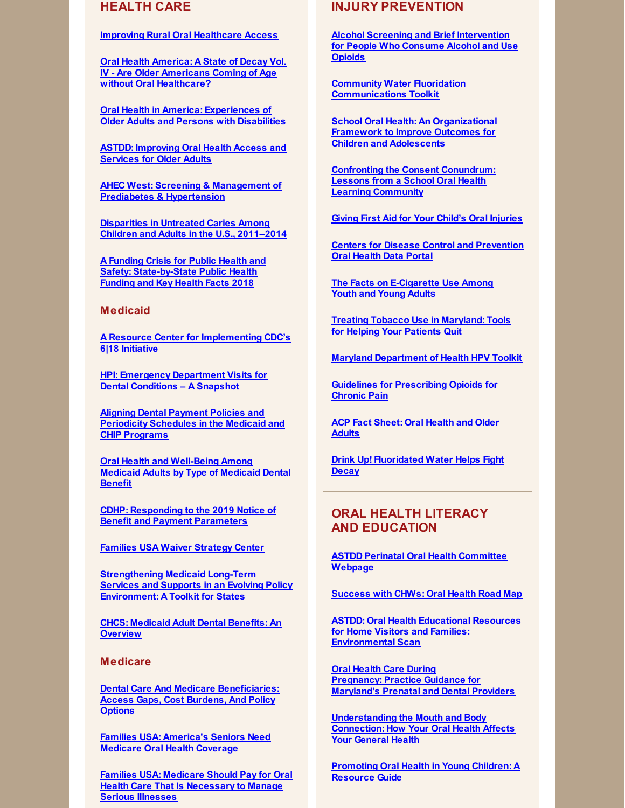# **HEALTH CARE**

### **Improving Rural Oral [Healthcare](https://www.ruralhealthweb.org/NRHA/media/Emerge_NRHA/Advocacy/Policy documents/05-11-18-NRHA-Policy-Improving-Rural-Oral-Health-Access.pdf) Access**

**Oral Health America: A State of Decay Vol. IV - Are Older Americans Coming of Age without Oral [Healthcare?](https://oralhealthamerica.org/astateofdecay/)**

**Oral Health in America: [Experiences](http://www.nasuad.org/sites/nasuad/files/NASUAD Oral Health in America.pdf) of Older Adults and Persons with Disabilities**

**ASTDD: [Improving](http://www.astdd.org/docs/improving-oral-health-access-and-services-for-older-adults.pdf) Oral Health Access and Services for Older Adults**

**AHEC West: Screening & Management of Prediabetes & [Hypertension](https://eliademy.com/catalog/catalog/product/view/sku/229adbfbf1)**

**[Disparities](https://link.springer.com/epdf/10.1186/s12903-018-0493-7?author_access_token=FL9eGPSkRp5-4scxDYp-OW_BpE1tBhCbnbw3BuzI2ROJr1IKgLr2bueRVSv2xRfqeBpf9o5t5-Ak0Bl969nzLvMfdoD35ATU3_lC2ZJgABIg8qCDQafMRbDwf-MeLMcXgQRt6is8li_9pv7VvwXk6w==) in Untreated Caries Among Children and Adults in the U.S., 2011–2014**

**A Funding Crisis for Public Health and Safety: [State-by-State](http://healthyamericans.org/assets/files/TFAH-2018-InvestInAmericaRpt-FINAL.pdf) Public Health Funding and Key Health Facts 2018**

### **Medicaid**

**A Resource Center for [Implementing](http://www.618resources.chcs.org/) CDC's 6|18 Initiative**

**HPI: Emergency [Department](https://www.ada.org/~/media/ADA/Science and Research/HPI/Files/HPIgraphic_0218_2.pdf?la=en) Visits for Dental Conditions – A Snapshot**

**Aligning Dental Payment Policies and [Periodicity](https://www.medicaid.gov/federal-policy-guidance/downloads/cib050418.pdf) Schedules in the Medicaid and CHIP Programs**

**Oral Health and [Well-Being](https://www.ada.org/~/media/ADA/Science and Research/HPI/Files/HPIgraphic_0518_1.pdf?la=en) Among Medicaid Adults by Type of Medicaid Dental Benefit**

**CDHP: Responding to the 2019 Notice of Benefit and Payment [Parameters](https://s3.amazonaws.com/cdhp/Dental+Coverage/CDHP+Resource+for+Advocates_Responding+to+the+2019+Notice+of+Benefit+and+Payment+Parameters_final052118.pdf)**

**Families USA Waiver [Strategy](http://familiesusa.org/state-waiver-resource-and-tracking-center) Center**

**[Strengthening](https://www.chcs.org/media/Strengthening-LTSS-Toolkit_120717.pdf) Medicaid Long-Term Services and Supports in an Evolving Policy Environment: A Toolkit for States**

**CHCS: [Medicaid](https://www.chcs.org/media/Adult-Oral-Health-Fact-Sheet_011618.pdf) Adult Dental Benefits: An Overview**

### **Medicare**

**Dental Care And Medicare [Beneficiaries:](https://www.healthaffairs.org/doi/abs/10.1377/hlthaff.2016.0829) Access Gaps, Cost Burdens, And Policy Options**

**Families USA: [America's](http://familiesusa.org/sites/default/files/OH_Medicare-Oral-Health-Coverage_Factsheet.pdf) Seniors Need Medicare Oral Health Coverage**

**Families USA: Medicare Should Pay for Oral Health Care That Is [Necessary](http://familiesusa.org/blog/2017/08/medicare-should-pay-oral-health-care-necessary-manage-serious-illnesses) to Manage Serious Illnesses**

## **INJURY PREVENTION**

**Alcohol Screening and Brief [Intervention](https://www.cdc.gov/drugoverdose/pdf/prescribing/AlcoholToolFactSheet-508.pdf) for People Who Consume Alcohol and Use Opioids**

**Community Water Fluoridation [Communications](https://www.naccho.org/programs/community-health/community-water-fluoridation) Toolkit**

**School Oral Health: An [Organizational](http://www.sbh4all.org/wp-content/uploads/2018/04/DQF_WP_SchoolOralHealth_F.pdf) Framework to Improve Outcomes for Children and Adolescents**

**Confronting the Consent [Conundrum:](http://www.sbh4all.org/wp-content/uploads/2018/04/DQF_WP_ConsentConundrum_F.pdf) Lessons from a School Oral Health Learning Community**

**Giving First Aid for Your Child's Oral [Injuries](https://eclkc.ohs.acf.hhs.gov/sites/default/files/pdf/oral-first-aid.pdf?utm_medium=email&utm_campaign=ECHW BUOH May Disaster Preparedness and Oral Health -Eblast&utm_content=ECHW BUOH May Disaster Preparedness and Oral Health -Eblast+Preview+CID_b49a7a05450ad20842090a9dea77f998&utm_source=CM Eblast&utm_term=Instructions on how to assess and provide first aid to oral injuries&utm_medium=email&utm_campaign=ECHW BUOH May Disaster Preparedness and Oral Health -Eblast&utm_content=ECHW BUOH May Disaster Preparedness and Oral Health -Eblast+CID_b49a7a05450ad20842090a9dea77f998&utm_source=CM Eblast&utm_term=Instructions on how to assess and provide first aid to oral injuries)**

**Centers for Disease Control and [Prevention](https://www.cdc.gov/oralhealthdata/index.html) Oral Health Data Portal**

**The Facts on [E-Cigarette](https://e-cigarettes.surgeongeneral.gov/) Use Among Youth and [Young](https://e-cigarettes.surgeongeneral.gov/) Adults**

**Treating Tobacco Use in [Maryland:](http://www.helppatientsquitmd.org/) Tools for Helping Your Patients Quit**

**Maryland [Department](https://phpa.health.maryland.gov/cancer/Pages/HPV.aspx) of Health HPV Toolkit**

**Guidelines for [Prescribing](https://www.cdc.gov/drugoverdose/pdf/guidelines_factsheet-a.pdf) Opioids for Chronic Pain**

**ACP Fact [Sheet:](https://www.acponline.org/system/files/documents/practice-resources/patient-resources/oral-health-and-older-adults.pdf) Oral Health and Older Adults**

**Drink Up! [Fluoridated](http://jada.ada.org/article/S0002-8177(15)00664-9/pdf) Water Helps Fight Decay**

# **ORAL HEALTH LITERACY AND EDUCATION**

**ASTDD Perinatal Oral Health [Committee](https://www.astdd.org/perinatal-oral-health-committee/) Webpage**

**[Success](http://mnchwalliance.org/wp-content/uploads/2012/12/Oral_Health_Road_Map_FINAL.pdf) with CHWs: Oral Health Road Map**

**ASTDD: Oral Health Educational Resources for Home Visitors and Families: [Environmental](http://www.astdd.org/docs/home-visiting-environmental-scan-2018.pdf) Scan**

**Oral Health Care During [Pregnancy:](https://phpa.health.maryland.gov/oralhealth/Pages/Oral_Health_and_Pregnancy.aspx) Practice Guidance for Maryland's Prenatal and Dental Providers**

**[Understanding](http://www.worldoralhealthday.org/sites/default/files/assets/2018_WOHD-brochure-EN.pdf) the Mouth and Body Connection: How Your Oral Health Affects Your General Health**

**[Promoting](https://www.mchoralhealth.org/PDFs/resguideyoungchildren.pdf) Oral Health in Young Children: A Resource Guide**